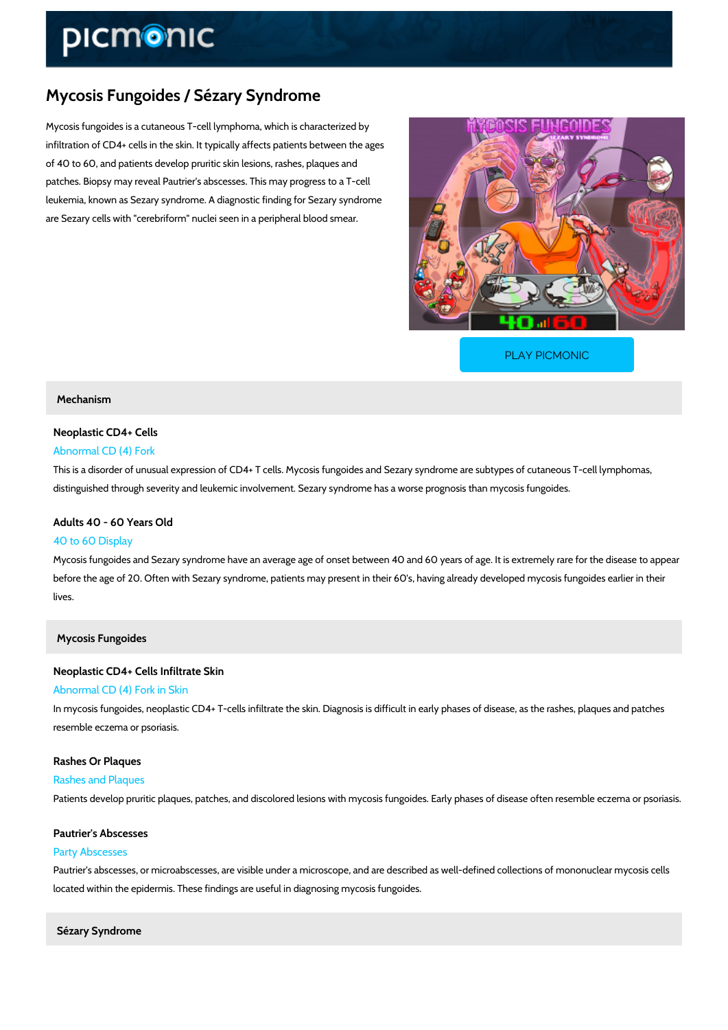# Mycosis Fungoides / Sézary Syndrome

Mycosis fungoides is a cutaneous T-cell lymphoma, which is characterized by infiltration of CD4+ cells in the skin. It typically affects patients between the ages of 40 to 60, and patients develop pruritic skin lesions, rashes, plaques and patches. Biopsy may reveal Pautrier's abscesses. This may progress to a T-cell leukemia, known as Sezary syndrome. A diagnostic finding for Sezary syndrome are Sezary cells with "cerebriform" nuclei seen in a peripheral blood smear.

[PLAY PICMONIC](https://www.picmonic.com/learn/mycosis-fungoides-s-eacute-zary-syndrome_2360?utm_source=downloadable_content&utm_medium=distributedcontent&utm_campaign=pathways_pdf&utm_content=Mycosis Fungoides / Sézary Syndrome&utm_ad_group=leads&utm_market=all)

# Mechanism

# Neoplastic CD4+ Cells

# Abnormal CD (4) Fork

This is a disorder of unusual expression of CD4+ T cells. Mycosis fungoides and Sezary syndr distinguished through severity and leukemic involvement. Sezary syndrome has a worse progn

# Adults 40 - 60 Years Old 40 to 60 Display

Mycosis fungoides and Sezary syndrome have an average age of onset between 40 and 60 yea before the age of 20. Often with Sezary syndrome, patients may present in their 60's, having lives.

## Mycosis Fungoides

# Neoplastic CD4+ Cells Infiltrate Skin Abnormal CD (4) Fork in Skin

In mycosis fungoides, neoplastic CD4+ T-cells infiltrate the skin. Diagnosis is difficult in earl resemble eczema or psoriasis.

#### Rashes Or Plaques

Rashes and Plaques

Patients develop pruritic plaques, patches, and discolored lesions with mycosis fungoides. Ea

#### Pautrier's Abscesses

## Party Abscesses

Pautrier's abscesses, or microabscesses, are visible under a microscope, and are described a located within the epidermis. These findings are useful in diagnosing mycosis fungoides.

Sézary Syndrome